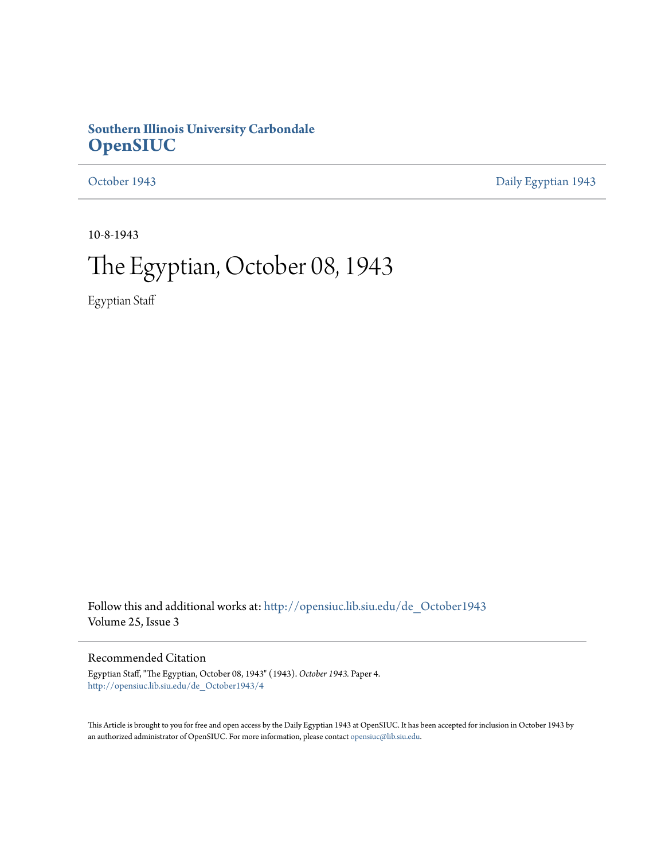### **Southern Illinois University Carbondale [OpenSIUC](http://opensiuc.lib.siu.edu?utm_source=opensiuc.lib.siu.edu%2Fde_October1943%2F4&utm_medium=PDF&utm_campaign=PDFCoverPages)**

[October 1943](http://opensiuc.lib.siu.edu/de_October1943?utm_source=opensiuc.lib.siu.edu%2Fde_October1943%2F4&utm_medium=PDF&utm_campaign=PDFCoverPages) [Daily Egyptian 1943](http://opensiuc.lib.siu.edu/de_1943?utm_source=opensiuc.lib.siu.edu%2Fde_October1943%2F4&utm_medium=PDF&utm_campaign=PDFCoverPages)

10-8-1943

## The Egyptian, October 08, 1943

Egyptian Staff

Follow this and additional works at: [http://opensiuc.lib.siu.edu/de\\_October1943](http://opensiuc.lib.siu.edu/de_October1943?utm_source=opensiuc.lib.siu.edu%2Fde_October1943%2F4&utm_medium=PDF&utm_campaign=PDFCoverPages) Volume 25, Issue 3

### Recommended Citation

Egyptian Staff, "The Egyptian, October 08, 1943" (1943). *October 1943.* Paper 4. [http://opensiuc.lib.siu.edu/de\\_October1943/4](http://opensiuc.lib.siu.edu/de_October1943/4?utm_source=opensiuc.lib.siu.edu%2Fde_October1943%2F4&utm_medium=PDF&utm_campaign=PDFCoverPages)

This Article is brought to you for free and open access by the Daily Egyptian 1943 at OpenSIUC. It has been accepted for inclusion in October 1943 by an authorized administrator of OpenSIUC. For more information, please contact [opensiuc@lib.siu.edu.](mailto:opensiuc@lib.siu.edu)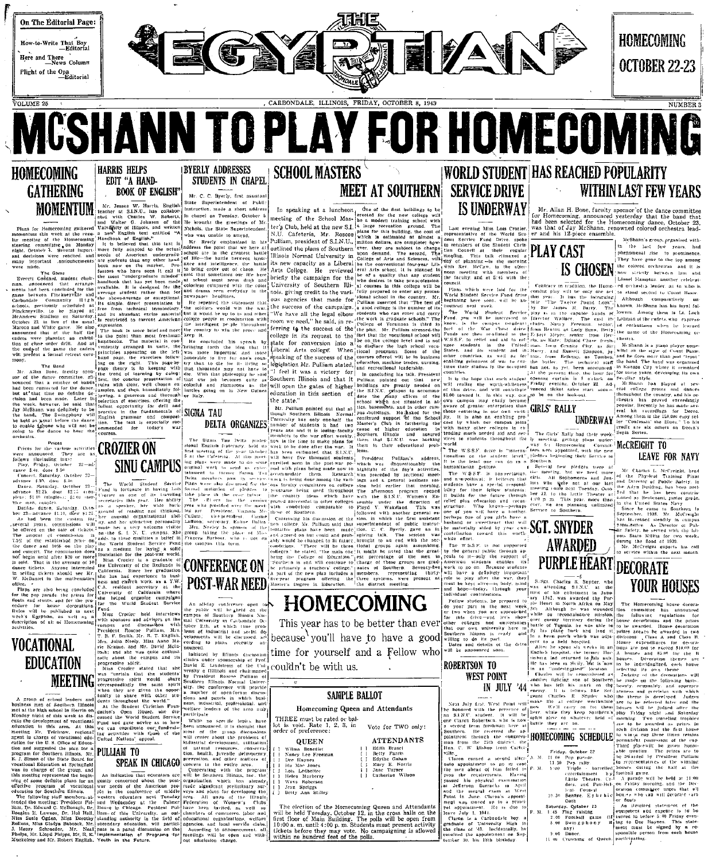

**MCSHANN TO PLAY FOR HOMECOMING HOMECOMING HARRIS HELPS BYERLY ADDRESSES** STUDENTS IN CHAPEL EDIT "A HAND-**GATHERING** 

**CATHERIMG** BOOK OF ENGLISH ME BOY TRANSFORMED ME COLUMN TRANSFORMATION CONTROLLED ME CONTROLLED ME CONTROLLED ME CONTROLLED ME CONTROLLED ME AND CONTROLLED ME AND CONTROLLED ME AND CONTROLLED ME AND CONTROLLED ME AND CON



**FOLCATIONAL**<br>
The Kraine, and Mr. Down and the was quite extual.<br> **EDUCATION**<br>
The Kraine and the was quite extual.<br> **EDUCATION**<br>
MEETING **EXECUTE CONSCILUS AND CONSCILUS CONSCILUS CONSCILUS CONSCILUS CONSCILUS (SEE THE** 

ogram or vo.<br>- Southern Illino . Dr.

# **BOOK OF ENGLISH**"

CROZIER ON<br>
SINU CAMPUS<br>
CONTERENCE ON<br>
POST-WAR NEED<br>
This year has to be better than ever<br>
This year has to be better than ever<br>
This year has to be better than ever<br>
This year has to be better than ever<br>
This year has t

 $\begin{minipage}{0.5\textwidth} \begin{tabular}{ll} $A$, $\mu$, $\mathcal{S}$, } \text{small, } \text{Mr, R, T, English}, \\ \text{Mrs, Julia Nebey, Miss Anne Ma-} \text{rie Kraus, and Mr. David McIn.} \end{tabular} \end{minipage}$ 

ern cubeca.<br>Wednesdas Hall, liam- of this University

## **SCHOOL MASTERS**

# Mr. C. C. Byerly, first assistan

An allelay conference open to<br>the public will be pieted on the<br>the public will be pieted on the<br>mal University in Carbondale Oc-<br>toler 2th, at which time probability<br>there 2th, at which time probability<br>between the discuss

nounced.<br>
Initiated by Hilnets descussion<br>
Initiated by Hilnets information<br>
David E. Lindstrom of the Unit<br>
versity o Hillinois and chairmaned<br>
by President Roseco Pulliam of

by President Rosero Pullanus of the Sydney Holly Sinty Server (Elliptoche Sydney and particle and particle and particle and particle in which business and particle areas in the synchrometer restrict leaders in the particle

 $\begin{tabular}{|c|c|c|c|c|} \hline & \multicolumn{3}{|c|}{\textbf{A}}\hline & \multicolumn{3}{|c|}{\textbf{A}}\hline & \multicolumn{3}{|c|}{\textbf{A}}\hline & \multicolumn{3}{|c|}{\textbf{A}}\hline & \multicolumn{3}{|c|}{\textbf{A}}\hline & \multicolumn{3}{|c|}{\textbf{A}}\hline & \multicolumn{3}{|c|}{\textbf{A}}\hline & \multicolumn{3}{|c|}{\textbf{A}}\hline & \multicolumn{3}{|c|}{\textbf{A}}\hline & \multicolumn{3}{|c$ 

## **MEET AT SOUTHERN SERVICE DRIVE**

MEET AT SOUTHERN SERVICE DRIVE<br>
SUNDERWAY<br>
THEN CAST THE REAL CONTROL TO THE REAL CONTROL TO THE REAL CONTROL TO THE REAL CONTROL TO THE REAL CONTROL TO<br>
THE REAL CONTROL TO THE REAL CONTROL TO THE REAL CONTROL TO THE REAL



because you'll have to have a good

time for yourself and a Fellow who

couldn't be with us.

SAMPLE BALLOT

### Homecoming Queen and Attendants

THREE must be rated or bal-<br>lot is void. Rate 1, 2, 3, in<br>order of preference: Vote for TWO only:

**ATTENDANTS** 

FAX A EFFERENCE<br>
Betty Farris<br>
Betty Farris<br>
Edythe Gahan<br>
Mary E. Norris<br>
Jane Turner<br>
Catherine Wilson

**QUEEN** 

- **QUEEN**<br>
Wilma Benedict<br>
Nancy Lee Freenan<br>
Dec Haynes<br>
Ma Mae Jones<br>
Helen Marberry<br>
Waya Robers<br>
Nancy Spelmen<br>
Nancy Spelmen<br>
Spelmen<br>
Spelmen<br>
Spelmen<br>
Spelmen<br>
Spelmen<br>
Spelmen<br>
Spelmen<br>
Spelmen<br>
Spelmen<br>
Spelmen<br>
Spe
- Jean Spriggs<br>Betty Ann Stilley
- The election of the Homecoming Queen and Attendants<br>will be held "locaday, October 12, in the cross halls on the<br>first floor of Main Building. The polis will be open from<br>10:00 a.m. until 4:00 p.m. Students must present a

### **WORLD STUDENT HAS REACHED POPULARITY** WITHIN LAST FEW YEARS

Mr. Allan H. Bone, faculty sponsor of the dance committee<br>for Homecoming, announced yesterday that the band that<br>had been selected for the Homecoming dance, October 23,<br>was that of Jay McShann, renowned colored orchestra l

In the last few years, had<br>phenomenal rise to prominence.<br>They have gone to the top among IS CHOSEN the colored orchestras and Hampton, another celebrar

ed orchestra leader, as to

lowers. Among them is ful.

Although comparatively units and the comparatively units. senior, et enthusiasm when he less<br>Betty the name of the Homecuming

I Several new pledges were at the Clareto-La McTevick head at the method and the and the method of the Physics (and the control of the method of the method of the method of the method of the method of the method of the me

He Safety, he served with the lib-<br>nois State Militia for two weeks<br>of the flood of 1939.<br>Mr. McCreigni expects his call<br>to service within the next month.

**YOUR HOUSES** 

**LEAVE FOR NAVY** 

Sex Charles R. Suyder, who was alreading SINC at the state of the collinear in January 1942, was alreaded to Pin-<br>prince of the collinear in January 1942, was alreaded to Pin-<br>prince the collinear in North Africa on May 19

**SGT. SNYDER** 

From Charles R. Shy<br> $\frac{d\hat{\mathbf{n}}}{dt}$  and  $\hat{\mathbf{n}}$  are college with<br> $\mathbf{b}$  and  $\mathbf{b}$  are the start of  $\mathbf{b}$ <br> $\mathbf{b}$  and  $\mathbf{b}$  are the start of  $\mathbf{b}$  are  $\mathbf{b}$  and  $\mathbf{b}$  are  $\mathbf{b}$  and  $\mathbf{b}$  at  $\$ 

HOMECOMING SCHEDULE  $\begin{bmatrix} \cosh a & \sinh a & \sinh a & \sinh a \\ \cosh a & \sinh a & \sinh a & \cosh a \end{bmatrix}$ <br>  $\begin{bmatrix} \cosh a & \sinh a & \cosh a & \sinh a \\ \sinh a & \sinh a & \sinh a & \sinh a \\ \sinh a & \sinh a & \sinh a & \sinh a \\ \cosh a & \sinh a & \cosh a & \sinh a \\ \cosh a & \cosh a & \cosh a & \cosh a \end{bmatrix}$ Figure 1.1.30 Per and the UNITED States of the Marian Contract Control of the States of the States of the States of the States of the States and Technical Control of the States of the States of the States of the States of

1:45 Fing raising.<br>2:00 Football game<br>8:00 Swingphony<br>any)

bic houses who can will decorate<br>or floats<br>An illenfired statement of<br>equipment and expense is to<br>curious in before 5:00 Fridays<br>(if tunred in before 5:00 Fridays) 

AWARDED PURPLE HEART DECORATE

The temperature of the control in the specific state of the specific state of the specific state of the specific state of the specific state of the specific state of the specific state of the specific state of the specifi

with the presence<br>student. It will<br>Robertacn, who is n ond term freshman acre as<br>ern. He received the ap-<br>ment through the congress

m the 25th district, the corned a second alter  $A = \frac{1}{2}$ <br>a shead of Dian for the case.<br>a shead of Dian for the corner requirements. Having<br>the physical examination<br>the physical examination<br>being the case and these<br>strength and the corner of the

 $\frac{1}{2}$  1. 1944.<br>
is a Carbondale boy.<br>
of University High is<br>
of '43. Incidentally, he<br>
the appointment on Sep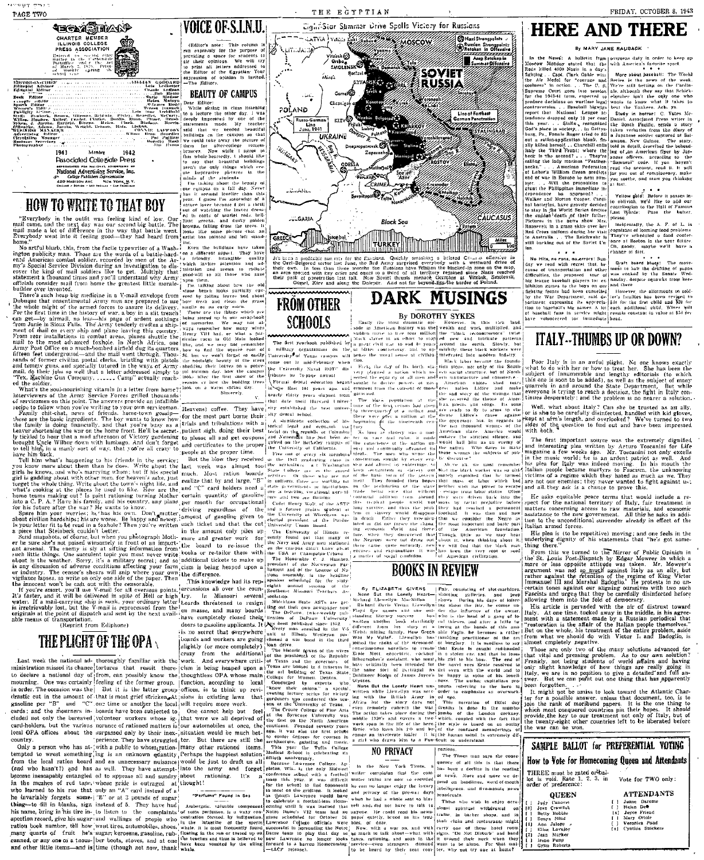:<br>Edingaat Advisor<br>Edingsal Rottur

## **TECAM SHOONS** rocand eis<br>Carbond

## (Editor's note: This column is<br>not realized to the purpose of<br>previding a space for students to<br>the that opinions. We will try<br>to print all letters addressed to<br>the Editor of the Egyptian Your<br> $\exp(-\pi \log \theta)$  for the Egyptia Anti-Comparing the Contract of the Contract of the Second Contract of the Second Second Second Second Second Second Second Second Second Second Second Second Second Second Second Second Second Second Second Second Second S **BEAUTY OF CAMPUS**

Dear Editor:<br>While sitting in class listening

**VOICE OF S.L.N.U.** 

**CLGARIA** 

And the principal constraints of the state of the state of the state of the state of the state of the state of the state of the state of the state of the state of the state of the state of the state of the state of the st

THE EGYPTIAN

Cight-Star Summer Drive Spells Victory for Russians

**WELL AND THE COMMANDER OF THE COMMANDER COMMANDER** Mazi Strongpolate strongpolnt;<br>in Offers' V .<br>Viitti Jai i<br>Tionk€a Amp Re  $\frac{1}{2\pi}$ Orsho<sub>p</sub><br>SMOLEN **SOVIET** Íslam. **RUSSIA**  $_{conv}$  $\sim 50\, {\rm GeV}$ chair. **POLAND** Line of Fe  $\sqrt{Rm}$  $\left\{\begin{array}{c} \text{Line} \\ \text{Line} \end{array}\right\}$ **UKRAIN** ·Willing CRIME **Charles** 

**Black Sec** 

CAUCASUS

### **HERE AND THERE**

### **BY MARY JANE RAUBACK :**

A butter in frame oversease duty in order to keep up<br>at atted, that the with America's favorite sport.<br> $\frac{1}{2}$  at the state of the sport.

In the Newis A holderic from powers a dary in order to seep pr<br>Mondoy at and that the point America's favorite sport.<br>Mondoy Mondoy and the set of the set of the Sichler of Scheller Scheller<br>Scheduler and the set of the S Particular Correlation and the particular interfering and the particular contribution of the control of the control of the control of the control of the control of the control of the control of the control of the control

only one w<br>at it takes

FRIDAY, OCTOBER 8, 1943

gizari the Phillpplates immediate in-<br>  $\epsilon$  dependence the approved in ... Yellow glods. Before it passes in<br>
Walter and Morton Coopter, Carall to column the difference and latter<br>
and latterfels. have gravely decided con Walker and Morton Conter. Cardinal<br>and latteries have gravely decided<br>to stay in the World Series despite<br>the suidade death of their fatter:<br>Pietures in the news show Mrs.<br>Reass-veit in a grass skitt-over her<br>Red Cross sui Incidentally, the A. F.

receive and coming food contents.<br>
They've scheduled a food contents of local contents<br>
They've scheduled a food content<br>
on, goody, unyle well have a<br>
rinage of diet.

No Hits, no runs, no errors: Sun.<br>
(clanare of dist.<br>
(sky we used with respect that the  $\begin{bmatrix} \cos\theta \\ \cos\theta \end{bmatrix}$  we used with respect that the draftling of gappa<br>
clause of transportation and other lines in the latt the d fronts had been cancelled

 $\sim$   $\sim$   $\sim$ 

Hawever, the allotments to sold fictions, fronts had heen cancelleral into were, the allotmeats to sold by the War Department, said de- ler's families has been reviged to hard that the appreciation is expressional into the state of the state in the time

### **ITALY--THUMBS UP OR DOWN?**

Poor Italy is in an awful plight. No one knows exactly<br>what to do with her or how to treat her. She has been the<br>subject of insuranceable and lengthy editorials to which<br>this one is soon to be added), as well as the subje

Well, what about Italy? Can she be trusted as an ally,<br>when the best case of the contract of the contract of the contract of the contract of the state of the state of the process of the question to find out and have been i

rout<br>and with ooth.<br>The first important source was the extremely dignified<br>and interesting piea written by Arturo Toseanini for Life<br> $_{\text{max}}$  and interesting piea written by Arturo Toseanini for Life<br> $_{\text{max}}$  and interest

He asks equitable peace terms that would include a respect for the national territory of Italy, fair treatment in spect to the tactomal decreases to raw materials, and economic<br>assistance to the new government. All this he asks in addi-<br>tion to the upconditional surrender already in effect of the Italian armed forces.

His plea is (to be repetitive) moving; and one feels in the<br>underlying dignity of his statements that "he's got something there.

show that the state of the Mirror of Pablic Opinion in the state of the State of the State of the State of the State of the State of the State of the State of the State of the State of the State of the State of the state o

is reasons and urges that they be carefully disinfected helore<br>[allowing them into the fold of democracy.]<br>[Its arise are valid of democracy.<br>[Its arise of district is in the condition of the first interval and the middle

| .<br>r dif-e              |                                                                                                           |                              |
|---------------------------|-----------------------------------------------------------------------------------------------------------|------------------------------|
|                           | SAMPLE BALLOT for PREFERENTIAL VOTING                                                                     |                              |
| pase-<br>here             | How to Vote for Homecoming Queen and Attendants                                                           |                              |
| iding !<br>: de l<br>outh | THREE must be rated orbal-<br>lot is void. Rate 1, 2, 3, in<br>Vote for TWO only:<br>order of preference: |                              |
| ae wa                     | QUEEN                                                                                                     | <b>ATTENDANTS</b>            |
| ece-                      | Judy Canovet                                                                                              | Jaane Darome                 |
| on                        | Joan Crawfish<br>13)                                                                                      | <b>Belen Deft</b>            |
| $1 - 10$                  | Betty Bobble                                                                                              | Joyce Friend<br>$\mathbf{x}$ |
| ilght)                    | Sonya Hind                                                                                                | Mary Oriole<br>Veronica Pond |
| oom¦                      | Ann Julony A<br>11                                                                                        | Cynthis Suickers<br>(x)      |
| handi                     | Eliza Lovejoy                                                                                             |                              |
| they!                     | (2)<br>Jean Marker                                                                                        |                              |
| mat-                      | irene Punn<br>Gynn Roberts                                                                                |                              |
|                           |                                                                                                           |                              |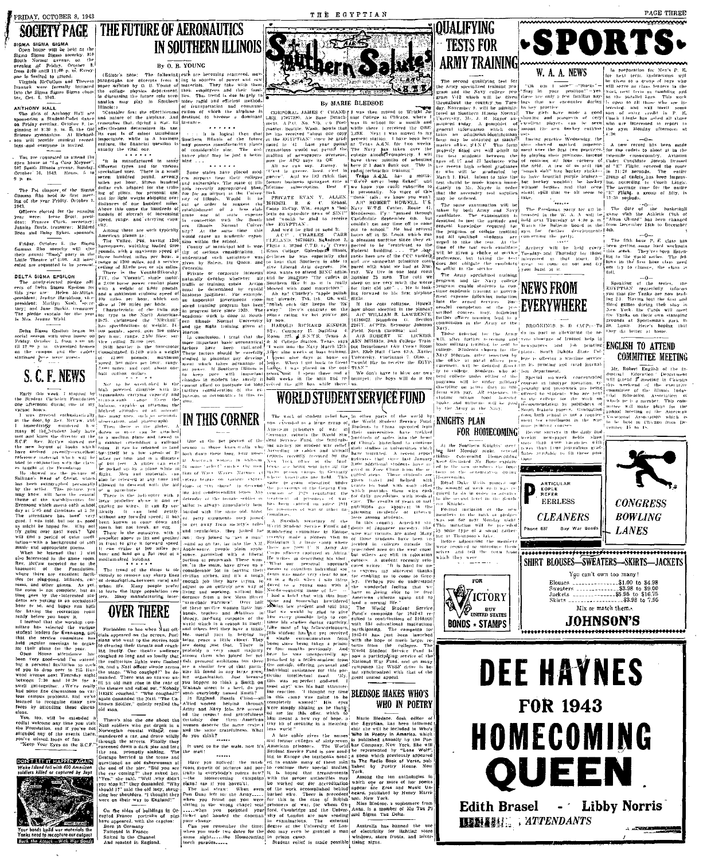FRIDAY, OCTOBER 8, 1943

### **SOCIETY PAGE**

# SIGMA SIGMA SIGMA<br>
Open house will be held at the<br>
Sigma Sigma Sigma sorority. 3th<br>
South Normal avenue, on the<br>
synthay of Friday, October 8,<br>
from 8:00 and3 11:00 p. m, Every

8:00 antil 11:00 p. ni, Every<br>s favited to attend.<br>ginla McCollum and Theress<br>ck were farmally lattiated<br>he Sigma Sigma Sigma chap<br>Oct. 6, 1943.

NTHONY HALL<br>The girls of Anthony Hall are<br>ponsoring a Student-Undet date "Consider hist the energy<br>consider that directions and not remember that diring a war, its<br>remember that diring a war, its<br>effectiveness determines its use. y evening, Ortober 8, be-<br>at 8:30 p. m. H. the Old e and primarily the communistant and Richard<br>provide invisional recor<br>everyone is invited.  $\begin{bmatrix} 1 & \text{Re } \cos \theta & 18 & \text{of } \sin \theta & \text{in} \sin \theta \\ \text{Impointing:} & \text{with } \sin \theta & 1 & \text{using } \sin \theta \\ \text{relative, the financial question is} & \text{using } \sin \theta & \text{using } \sin \theta \\ \text{using } & \text{the } \theta & \text{the } \theta \end{bmatrix}$ 

nauties<br>| liauties<br>| lilinois: l

pre roquested to attend the en house at "La Casa Maynor", allem<br>7 South Illinois aveure, Sunday, different<br>toher 10, 1943, Hours, 5 to SPP

Davis, treasurer; ornered Amound Daisy Sykes, sponsofs. Amou

over any truck posses. Sponsors. Commute the state of the state of the Sigman and the Prince of the Capital Commute and The Ville Commute and Samma Rio sponsors. We also assume that the state of the possible of the person r, October & the Sigma<br>- Rho sorochy will stee<br>mual "Rush" party in the<br>heatre at 4:00. All inter-<br>e-requasted to be present.

on the compus and the cade<br>stationed there were guests

## S. C. F. NEWS

### this week. I stopped by<br>went Christian Foundation<br>ernoot during one of any ors.<br>|greeted= enthusiastically

contustastically<br>ediately wondered h.w.<br>ediately wondered h.w.<br>f the student holy have<br>know the director of the<br>Rev. McCert

ne rounganoù.<br>excellent facili billiards, car of demari As yet<br>  $\frac{1}{2}$  and complete, but as<br>
by the -interested stu-<br>
utting in an occasional<br>
and hopes run high<br>
the vecreation room<br>  $\frac{1}{2}$  you know it.<br>
Lat the were games

the

pus problems, and we've | again dominated the Nazi. "The Unit of the Sale of the Magnetic Tree Charles The Unit of the Unit of the Unit of the Charles discus | blown Solder," quietly replied the attending these discus | o

Now yish a There's<br>
you yish Nazi soldie<br>
you've not Norwegian<br>
ats there. Your Eyes on the S.C.F

DON'T LET IT HAPPEN AGAIN capti



Yanks need to recapture our outpost<br>Seek the Attack - With War Sonald



 $\begin{tabular}{|l|l|} \hline & (Baltor's note: The $I$ be \emph{argraphs} are excepted \emph{panger without by O. B. Y} \\ paper without by O. B. Y \\ the college physics the future n \emph{radius may play in:} \\ \hline \end{tabular}$ e fallowing este are becoming<br>its from a ing to sources of of power and raw<br>r take with then<br>and their fami rees<br>They ). It Young of matterials. They take with the<br>matter of a contribution of the contribution of the control of<br>the contribution of the control of the control of the<br>state in Southern inter-rapid and efficient methods<br>in the linois:)<br>"Consider firs: the effectivene

**THE FUTURE OF AERONAUTICS** 

 $\cdots$ t is logical then the<br>
Hinois of the futures manufacturium au.<br>m&# possea∝.<br>~f considerable تقا

nance plant may  $\lim_{n \to \infty}$ stafes have placed

For the state of a continuous continuous continuous continuous continuous continuous continuous continuous continuous continuous continuous continuous continuous continuous continuous continuous continuous continuous cont reparation<br>hand of a beas chalc Cana Mi (200 MM) and the connection with the South<br>hand "on the connection with the South hand "would can be south in<br>the King of the same time in the King of the South Band we are<br> $\Delta t$  at

re requested to be present;<br>  $\begin{bmatrix}\n\cos \theta_1 & \sin \theta_2 & \sin \theta_3 \\
\sin \theta_4 & \sin \theta_5 & \sin \theta_6\n\end{bmatrix}$ ,  $\begin{bmatrix}\n\cos \theta_1 & \sin \theta_2 & \sin \theta_3 \\
\sin \theta_4 & \sin \theta_5 & \sin \theta_7\n\end{bmatrix}$ ,  $\begin{bmatrix}\n\sin \theta_1 & \sin \theta_2 & \sin \theta_3 \\
\sin \theta_2 & \sin \theta_3 & \cos \theta_4 & \sin \theta_5\n\end{bmatrix}$ ,  $\begin{bmatrix}\n$ enti au important<br>sored training<br>mo- in progress liet

 $\begin{array}{ll} \mbox{Consolidary} \\ \mbox{of} & \pm 1.000 & \mbox{no} \\ \mbox{speed. 300 miles} & \mbox{miles} \\ \mbox{5,100 miles} & \mbox{and} \\ \mbox{equation of} \\ \mbox{equation} & \mbox{of} \\ \end{array}$ Special contract and rost 4<br>half million dollars

 $\begin{tabular}{ll} \bf 1.1 & \bf 1.2 & \bf 2.3 & \bf 3.4 & \bf 4.5 & \bf 5.7 & \bf 6.7 & \bf 7.7 & \bf 8.8 & \bf 9.9 & \bf 1.0 & \bf 1.0 & \bf 1.0 & \bf 1.0 & \bf 1.0 & \bf 1.0 & \bf 1.0 & \bf 1.0 & \bf 1.0 & \bf 1.0 & \bf 1.0 & \bf 1.0 & \bf 1.0 & \bf 1.0 & \bf 1.0 & \bf 1.0 & \bf 1.0 & \bf 1.0 & \bf 1.0 & \bf 1.0 & \bf$ 

oped for. Why heat is the interest and the accept the theorem is the state of quiet in the accept of the state of quiet model propeller above to litt are formed to the state of the state of the state of the state of the st

of demands of the Many people prefer adjust to under the Many people prefer adjust to to bark the here population cent living and term of the Many manufacturing there demands of an achair



and called out. "Nohody HERE coughed.

car and drave wildly

na m  $\left| \frac{1}{168.64} \right|$ 

On the sides of buildings in Oc-<br>upied France portraits of pigs<br>seve appeared, with the caption: Born in Germany<br>Fattened in France<br>Saited in the Channel<br>And roasted in England.



THE EGYPTIAN

### **By MARIE BLEDSOE**

vc RDBERT HOWE<br>ry W.T.S. Center, R<br>nderson, l'y.: "passed<br>clobadale Soutember 4

Eleb Hall, Class, 43-A.

CORPORAL JAMES C CHAND-1 was then moved to Wright Ju-<br>term and the moved to Wright Ju-<br>term and the Base Detach plane condition where the month and<br>taster, Sattlite, Waah, howist that when the month and<br>rater, Sattlite, W zen etatio malling of newspapers<br>pow the APO says its

think that **Tifetime** Best o'| we ÷.

The CHATTLE EVAN Y, ALLEN

And we'd be glad to sele<br>ACC . CHARLES<br>CLELAND. 36736623. Sq#ac 

> trended to a large group of prisoners of war in Studence

m! Charley's "apple poitstirendy. Tsk, tsk. Oh. well.<br>each day keeps the 'Es'<br>Here's congrats on the

and we see a logar transmit  $\left\{ \frac{1}{1000} \right\}$  and the days at home our University When I set the Great Power<br>1. The see placed in the out- $\left\{ 14.8\right\}$ <br>2. The see placed in the out- $\left\{ 14.8\right\}$ <br>2. The minimal resp n maes au<br>If Southern

Nower, it southern illinois is<br>here pare with important<br>gase in modern line, surely is<br>not afford to pastpare (or long<br>nor realisted) ratios of the ex-<br>son or aeromatrics in this re-<br>.

### **IN THIS CORNER**

portion of prop-wash main, have considerable lot



...<br>Think

raits in everyb  $\begin{tabular}{|c|c|c|c|} \hline \textbf{The last} & \textbf{s} \\ \textbf{Dan Dun} & \textbf{lett} \\ \textbf{when } you & \textbf{for} \\ \textbf{sluting in the} \\ \hline \end{tabular}$ straw: when even<br>left for the Ariny.......<br>found out you were<br>the wrong chapel seat<br>you pocketed your when you London are not

: Radio Book<br>by Poetry

stated and on the coordinate in examinations. The external contains a sometime of the point relations of the external properties of the contempt of the contempt of the contempt of the contempt of the contempt of the contem



 $\tilde{m}$ 

PAGE THREE

--------------

cross-country.

**COMMITTEE MEETING** 

"E" Flight, a

 $5 - 10$ 

W. A. A. NEWS The second qualifying test "Oh am I sore" = "Sticks"

The second quantitying test for<br>the Amiy specialized training pro<br>gram and the Nevy college pro-<br>throughout the country for Tues-<br>throughout the country for Tues-<br>day. November 9, will be adminis-Siny in you<br>hese are only<br>est that we servu .<br>Anni Harr

girls have made a good sort of extra cr<br>
2 and prospects of very (coach Lingle has<br>
an players can be seen who are interested<br>
the gym Alomaia and a seen who enthusing the gym Alomaia<br>  $\frac{1}{2}$ drive provide items and control<br>ment over the first two proctices. for

 $\begin{tabular}{ll} \bf{in} & order & without & height & the & 1\\ \bf{in} & number & width of the & height & the & 1\\ \bf{supplies} & shown & split & that & we & all & see\\ \bf{in} & \bf{in} & \bf{in} & \bf{in} & \bf{in} \\ \bf{in} & \bf{in} & \bf{in} & \bf{in} & \bf{in} \\ \bf{in} & \bf{in} & \bf{in} & \bf{in} & \bf{in} \\ \bf{in} & \bf{in} & \bf{in} & \bf{in} & \bf{in} \\ \bf{in} & \bf{in} & \bf{in} & \bf{in} & \bf{in} & \bf{in} \\ \$  $\mathcal{O}_{\mathcal{E}_{\text{MSE}}\left(\mathcal{E}\right)}$ 

gym for further developm<br>comerning the party,<br>Archery will be held<br>Tuesday- and Thursday for<br>interested in that shart. The fifth hour  $P$ . every<br>those<br>CD's

The ann nour P. r. class<br>been getting some hard works<br>clais areek. They'verbeen list<br>ing to the spatd series. The<br>lows in the first hour class a , Tuesday- and Thursuay on a<br>"interested" in that "shart.<br>"great" so come on our and  $\frac{1000 \times 10}{100}$ 

the Speaking of the Merican Horse Control of the Merican Control of the Speaking of the Speaking of the Speaking of the Speaking of the Speaking of the Speaking of the Speaking of the Speaking of the Speaking of the Speaki **NEWS FROM EVERYWHERE** 

BROOKINGS, S. D. (ACP)-To .<br>The most in allowinting the seerage of trained help in

**DENSITY OF SOUTH ACTES AND STREET ASSESSMENT AND RELEASE AND STREET ASSESSMENT ASSESSMENT AND ATTEND** lege is offering a warthue service<br>in its printing and rural journal Mr. Robert English of the

six-week

FOR HOMECOMING





"Turnschale warriers". Over half Space and Source and Source and Source and Source and Source and Source and Source and Source and Source and Source and Source and Source and Source and Source and Source and Source and So .<br>Service Student this par-<br>L - 'My.<br>Iseud. - I

t godseud. I<br>half stammer-<br>sught my time<br>going to be<br>!' His eyes

.<br>Wol

Army and Na<br>e examination

**OUALIFYING** 

יי"<br>יוג

**TESTS FOR** 

For the of the test ener enamouse.<br>  $\frac{1}{2}$  will be given a roote of service<br>
reflex) preference, but taking the test<br>
comb does not obtigate the candidate<br>
always not obtigate the candidate<br>
comb to eiths: in the servic ie -bar-<br>variietki The Army specialized training

Army specialized training<br>and the Navy college,<br>enable students to con-<br>definite training at gatecra-<br>pease following induction<br>enable to Street and Services<br>completion of the pre-<br>completion of the pre-<br>completion of the .<br>the cots collapse. Howell. ow about sleeping in the planes'<br>A/C WILLIAM R. LAWRENCE tuither officer training lead to a<br>commission in the Army or the<br>Navy,

u<br>ururee Room Xavier WORLD STUDENT SERVICE FUND

basis, and unitother will<br>by the  $\Lambda r_{\rm H} y_{-01}$  the  $N_0$ **KNIGHTS PLAN** 

and the matrix of the world by the World State of the World Studies of the world by the material of the matrix of the matrix of the matrix of the matrix of the matrix of the matrix of the matrix of the matrix of the matrix Southern Knights' meet<br>Monday night, several<br>Concerning Homeconduc<br>cusaed Mr. Banc conduct

**FOR** 

**BLEDSOE MAKES WHO'S** WHO IN POETRY

wii